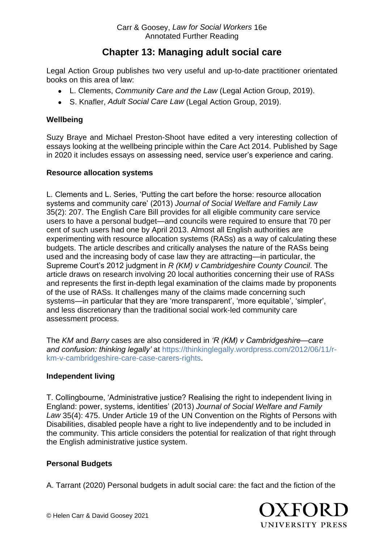# **Chapter 13: Managing adult social care**

Legal Action Group publishes two very useful and up-to-date practitioner orientated books on this area of law:

- L. Clements, *Community Care and the Law* (Legal Action Group, 2019).
- S. Knafler, *Adult Social Care Law* (Legal Action Group, 2019).

### **Wellbeing**

Suzy Braye and Michael Preston-Shoot have edited a very interesting collection of essays looking at the wellbeing principle within the Care Act 2014. Published by Sage in 2020 it includes essays on assessing need, service user's experience and caring.

### **Resource allocation systems**

L. Clements and L. Series, 'Putting the cart before the horse: resource allocation systems and community care' (2013) *Journal of Social Welfare and Family Law* 35(2): 207. The English Care Bill provides for all eligible community care service users to have a personal budget—and councils were required to ensure that 70 per cent of such users had one by April 2013. Almost all English authorities are experimenting with resource allocation systems (RASs) as a way of calculating these budgets. The article describes and critically analyses the nature of the RASs being used and the increasing body of case law they are attracting—in particular, the Supreme Court's 2012 judgment in *R (KM) v Cambridgeshire County Council*. The article draws on research involving 20 local authorities concerning their use of RASs and represents the first in-depth legal examination of the claims made by proponents of the use of RASs. It challenges many of the claims made concerning such systems—in particular that they are 'more transparent', 'more equitable', 'simpler', and less discretionary than the traditional social work-led community care assessment process.

The *KM* and *Barry* cases are also considered in *'R (KM) v Cambridgeshire—care and confusion: thinking legally'* at [https://thinkinglegally.wordpress.com/2012/06/11/r](https://thinkinglegally.wordpress.com/2012/06/11/r-km-v-cambridgeshire-care-case-carers-rights)[km-v-cambridgeshire-care-case-carers-rights.](https://thinkinglegally.wordpress.com/2012/06/11/r-km-v-cambridgeshire-care-case-carers-rights)

### **Independent living**

T. Collingbourne, 'Administrative justice? Realising the right to independent living in England: power, systems, identities' (2013) *Journal of Social Welfare and Family Law* 35(4): 475. Under Article 19 of the UN Convention on the Rights of Persons with Disabilities, disabled people have a right to live independently and to be included in the community. This article considers the potential for realization of that right through the English administrative justice system.

### **Personal Budgets**

A. Tarrant (2020) Personal budgets in adult social care: the fact and the fiction of the